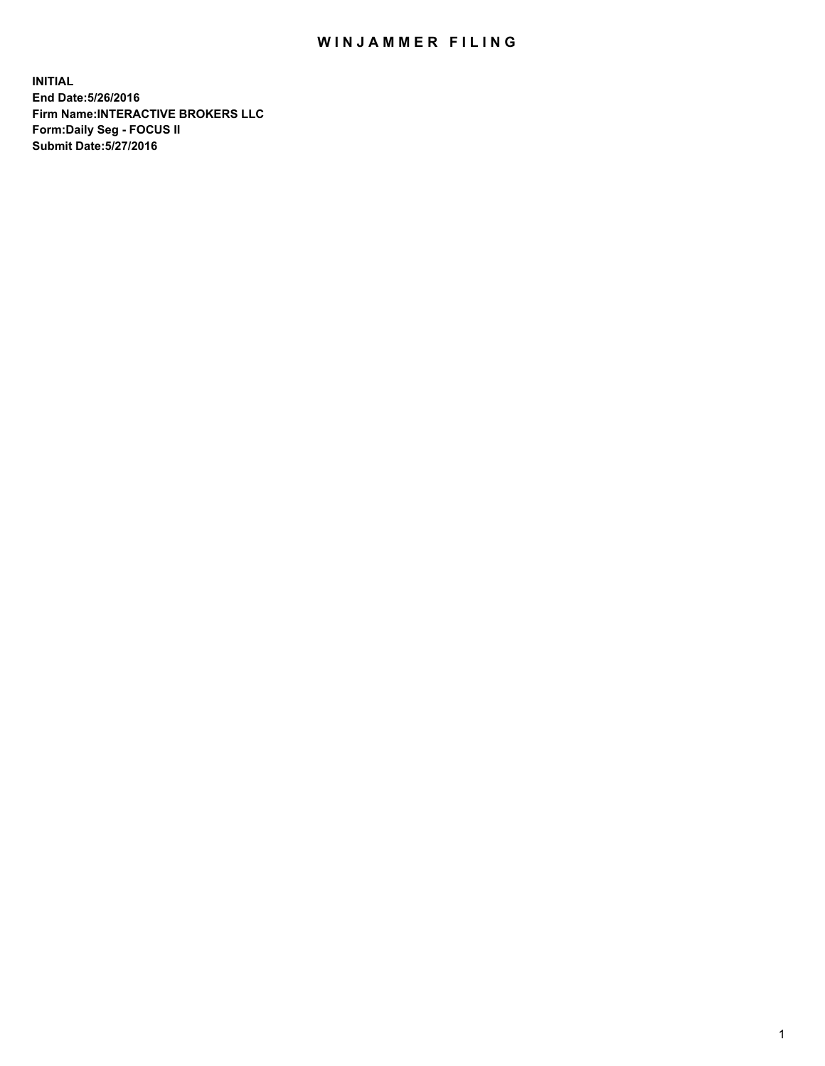## WIN JAMMER FILING

**INITIAL End Date:5/26/2016 Firm Name:INTERACTIVE BROKERS LLC Form:Daily Seg - FOCUS II Submit Date:5/27/2016**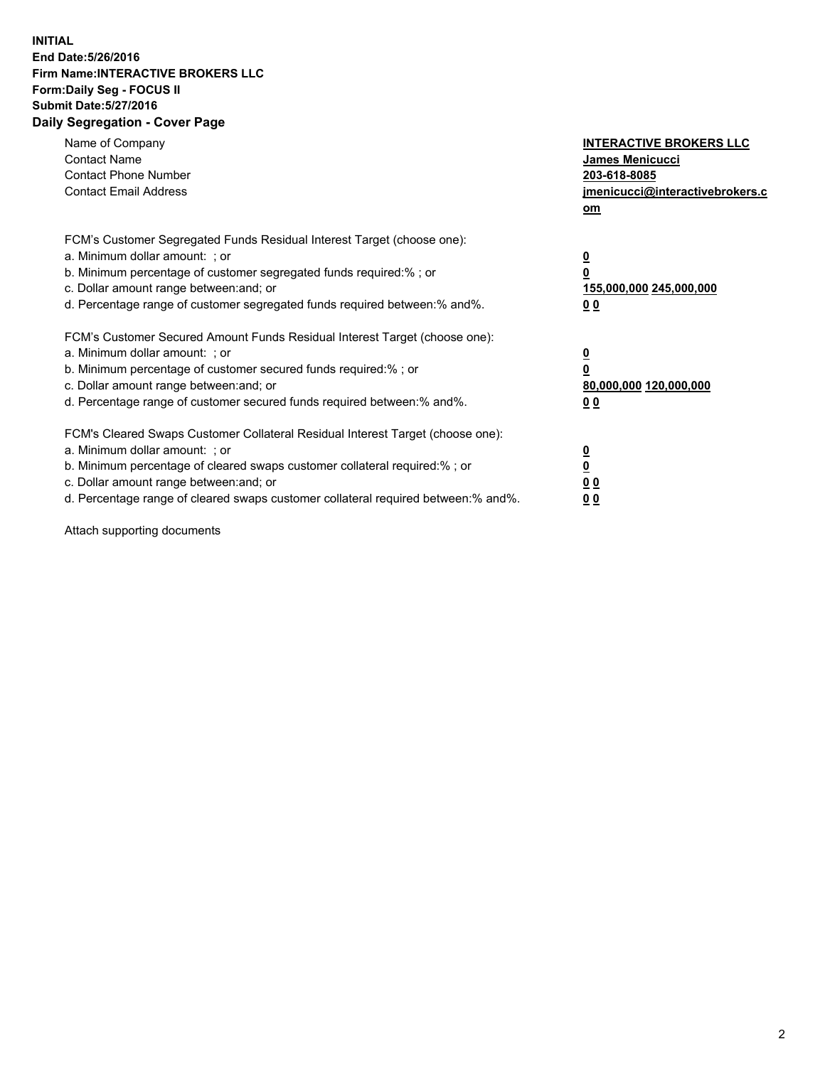## **INITIAL End Date:5/26/2016 Firm Name:INTERACTIVE BROKERS LLC Form:Daily Seg - FOCUS II Submit Date:5/27/2016 Daily Segregation - Cover Page**

| Name of Company<br><b>Contact Name</b><br><b>Contact Phone Number</b><br><b>Contact Email Address</b>                                                                                                                                                                                                                          | <b>INTERACTIVE BROKERS LLC</b><br><b>James Menicucci</b><br>203-618-8085<br>jmenicucci@interactivebrokers.c<br>om |
|--------------------------------------------------------------------------------------------------------------------------------------------------------------------------------------------------------------------------------------------------------------------------------------------------------------------------------|-------------------------------------------------------------------------------------------------------------------|
| FCM's Customer Segregated Funds Residual Interest Target (choose one):<br>a. Minimum dollar amount: ; or<br>b. Minimum percentage of customer segregated funds required:%; or<br>c. Dollar amount range between: and; or<br>d. Percentage range of customer segregated funds required between:% and%.                          | $\overline{\mathbf{0}}$<br>0<br>155,000,000 245,000,000<br>0 <sub>0</sub>                                         |
| FCM's Customer Secured Amount Funds Residual Interest Target (choose one):<br>a. Minimum dollar amount: ; or<br>b. Minimum percentage of customer secured funds required:%; or<br>c. Dollar amount range between: and; or<br>d. Percentage range of customer secured funds required between: % and %.                          | $\overline{\mathbf{0}}$<br>0<br>80,000,000 120,000,000<br>00                                                      |
| FCM's Cleared Swaps Customer Collateral Residual Interest Target (choose one):<br>a. Minimum dollar amount: ; or<br>b. Minimum percentage of cleared swaps customer collateral required:% ; or<br>c. Dollar amount range between: and; or<br>d. Percentage range of cleared swaps customer collateral required between:% and%. | $\overline{\mathbf{0}}$<br>$\overline{\mathbf{0}}$<br>0 <sub>0</sub><br><u>00</u>                                 |

Attach supporting documents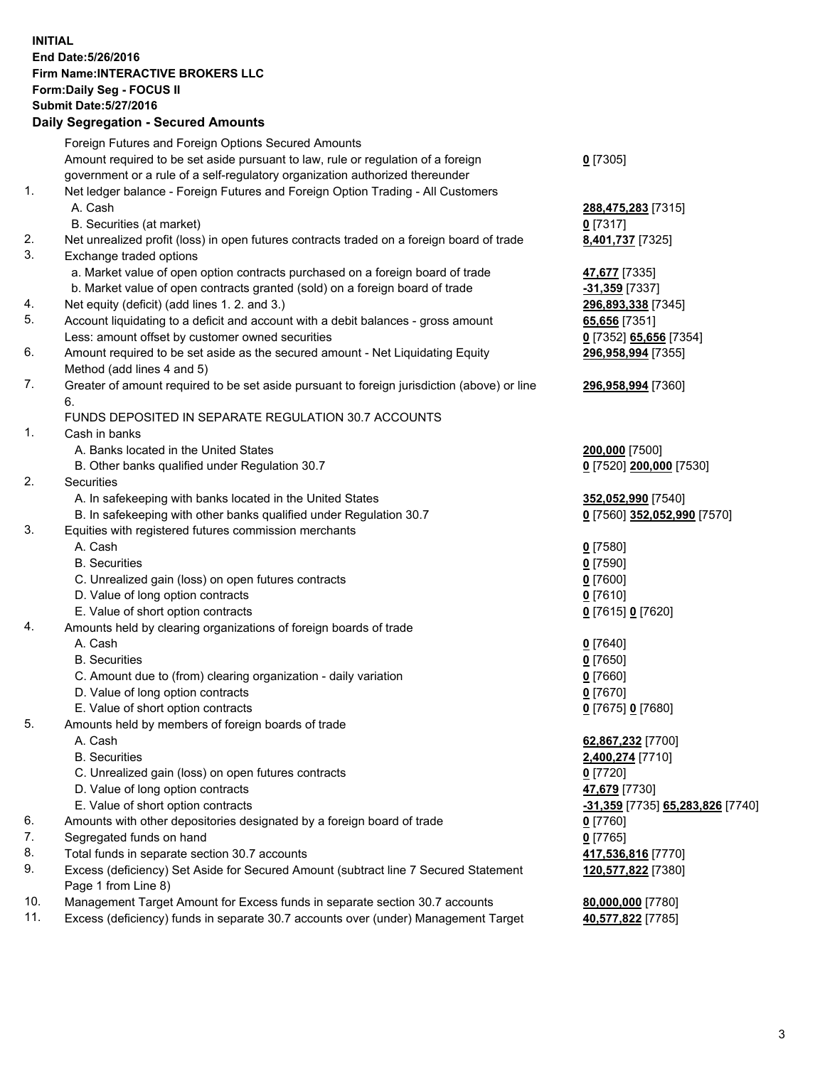## **INITIAL End Date:5/26/2016 Firm Name:INTERACTIVE BROKERS LLC Form:Daily Seg - FOCUS II Submit Date:5/27/2016 Daily Segregation - Secured Amounts**

|                | Daily Ocglegation - Occuled Amounts                                                                        |                                  |
|----------------|------------------------------------------------------------------------------------------------------------|----------------------------------|
|                | Foreign Futures and Foreign Options Secured Amounts                                                        |                                  |
|                | Amount required to be set aside pursuant to law, rule or regulation of a foreign                           | $0$ [7305]                       |
|                | government or a rule of a self-regulatory organization authorized thereunder                               |                                  |
| 1.             | Net ledger balance - Foreign Futures and Foreign Option Trading - All Customers                            |                                  |
|                | A. Cash                                                                                                    | 288,475,283 [7315]               |
|                | B. Securities (at market)                                                                                  | $0$ [7317]                       |
| 2.             | Net unrealized profit (loss) in open futures contracts traded on a foreign board of trade                  | 8,401,737 [7325]                 |
| 3.             | Exchange traded options                                                                                    |                                  |
|                | a. Market value of open option contracts purchased on a foreign board of trade                             | 47,677 [7335]                    |
|                | b. Market value of open contracts granted (sold) on a foreign board of trade                               | -31,359 [7337]                   |
| 4.             | Net equity (deficit) (add lines 1.2. and 3.)                                                               | 296,893,338 [7345]               |
| 5.             | Account liquidating to a deficit and account with a debit balances - gross amount                          | 65,656 [7351]                    |
|                | Less: amount offset by customer owned securities                                                           | 0 [7352] 65,656 [7354]           |
| 6.             | Amount required to be set aside as the secured amount - Net Liquidating Equity                             | 296,958,994 [7355]               |
|                | Method (add lines 4 and 5)                                                                                 |                                  |
| 7.             | Greater of amount required to be set aside pursuant to foreign jurisdiction (above) or line                | 296,958,994 [7360]               |
|                | 6.                                                                                                         |                                  |
|                | FUNDS DEPOSITED IN SEPARATE REGULATION 30.7 ACCOUNTS                                                       |                                  |
| $\mathbf{1}$ . | Cash in banks                                                                                              |                                  |
|                | A. Banks located in the United States                                                                      | 200,000 [7500]                   |
|                | B. Other banks qualified under Regulation 30.7                                                             | 0 [7520] 200,000 [7530]          |
| 2.             | Securities                                                                                                 |                                  |
|                | A. In safekeeping with banks located in the United States                                                  | 352,052,990 [7540]               |
|                | B. In safekeeping with other banks qualified under Regulation 30.7                                         | 0 [7560] 352,052,990 [7570]      |
| 3.             | Equities with registered futures commission merchants                                                      |                                  |
|                | A. Cash                                                                                                    | $0$ [7580]                       |
|                | <b>B.</b> Securities                                                                                       | $0$ [7590]                       |
|                | C. Unrealized gain (loss) on open futures contracts                                                        | $0$ [7600]                       |
|                | D. Value of long option contracts                                                                          | $0$ [7610]                       |
|                | E. Value of short option contracts                                                                         | 0 [7615] 0 [7620]                |
| 4.             | Amounts held by clearing organizations of foreign boards of trade                                          |                                  |
|                | A. Cash                                                                                                    | $0$ [7640]                       |
|                | <b>B.</b> Securities                                                                                       | $0$ [7650]                       |
|                | C. Amount due to (from) clearing organization - daily variation                                            | $0$ [7660]                       |
|                | D. Value of long option contracts                                                                          | $0$ [7670]                       |
|                | E. Value of short option contracts                                                                         | 0 [7675] 0 [7680]                |
| 5.             | Amounts held by members of foreign boards of trade                                                         |                                  |
|                | A. Cash                                                                                                    | 62,867,232 [7700]                |
|                | <b>B.</b> Securities                                                                                       | 2,400,274 [7710]                 |
|                | C. Unrealized gain (loss) on open futures contracts                                                        | $0$ [7720]                       |
|                | D. Value of long option contracts                                                                          | 47,679 [7730]                    |
|                | E. Value of short option contracts                                                                         | -31,359 [7735] 65,283,826 [7740] |
| 6.             | Amounts with other depositories designated by a foreign board of trade                                     | 0 [7760]                         |
| 7.             | Segregated funds on hand                                                                                   | $0$ [7765]                       |
| 8.             | Total funds in separate section 30.7 accounts                                                              | 417,536,816 [7770]               |
| 9.             | Excess (deficiency) Set Aside for Secured Amount (subtract line 7 Secured Statement<br>Page 1 from Line 8) | 120,577,822 [7380]               |
| 10.            | Management Target Amount for Excess funds in separate section 30.7 accounts                                | 80,000,000 [7780]                |
| 11.            | Excess (deficiency) funds in separate 30.7 accounts over (under) Management Target                         | 40,577,822 [7785]                |
|                |                                                                                                            |                                  |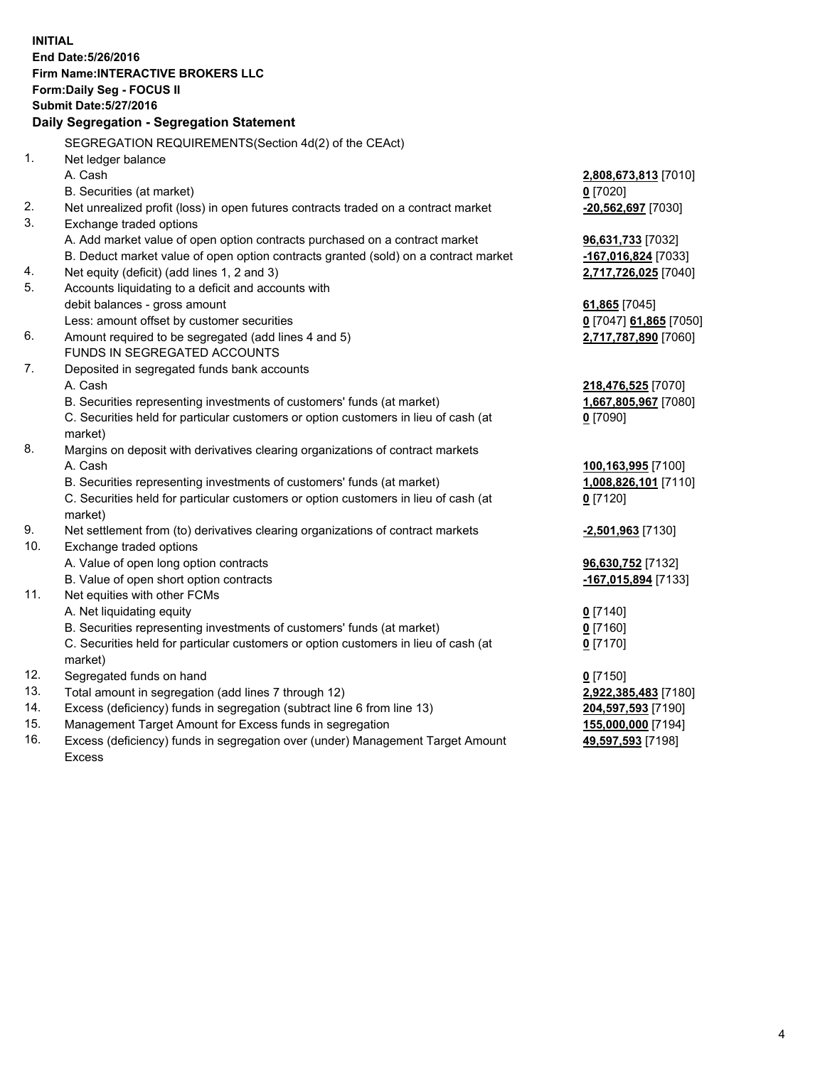**INITIAL End Date:5/26/2016 Firm Name:INTERACTIVE BROKERS LLC Form:Daily Seg - FOCUS II Submit Date:5/27/2016 Daily Segregation - Segregation Statement** SEGREGATION REQUIREMENTS(Section 4d(2) of the CEAct) 1. Net ledger balance A. Cash **2,808,673,813** [7010] B. Securities (at market) **0** [7020] 2. Net unrealized profit (loss) in open futures contracts traded on a contract market **-20,562,697** [7030] 3. Exchange traded options A. Add market value of open option contracts purchased on a contract market **96,631,733** [7032] B. Deduct market value of open option contracts granted (sold) on a contract market **-167,016,824** [7033] 4. Net equity (deficit) (add lines 1, 2 and 3) **2,717,726,025** [7040] 5. Accounts liquidating to a deficit and accounts with debit balances - gross amount **61,865** [7045] Less: amount offset by customer securities **0** [7047] **61,865** [7050] 6. Amount required to be segregated (add lines 4 and 5) **2,717,787,890** [7060] FUNDS IN SEGREGATED ACCOUNTS 7. Deposited in segregated funds bank accounts A. Cash **218,476,525** [7070] B. Securities representing investments of customers' funds (at market) **1,667,805,967** [7080] C. Securities held for particular customers or option customers in lieu of cash (at market) **0** [7090] 8. Margins on deposit with derivatives clearing organizations of contract markets A. Cash **100,163,995** [7100] B. Securities representing investments of customers' funds (at market) **1,008,826,101** [7110] C. Securities held for particular customers or option customers in lieu of cash (at market) **0** [7120] 9. Net settlement from (to) derivatives clearing organizations of contract markets **-2,501,963** [7130] 10. Exchange traded options A. Value of open long option contracts **96,630,752** [7132] B. Value of open short option contracts **-167,015,894** [7133] 11. Net equities with other FCMs A. Net liquidating equity **0** [7140] B. Securities representing investments of customers' funds (at market) **0** [7160] C. Securities held for particular customers or option customers in lieu of cash (at market) **0** [7170] 12. Segregated funds on hand **0** [7150] 13. Total amount in segregation (add lines 7 through 12) **2,922,385,483** [7180] 14. Excess (deficiency) funds in segregation (subtract line 6 from line 13) **204,597,593** [7190] 15. Management Target Amount for Excess funds in segregation **155,000,000** [7194] **49,597,593** [7198]

16. Excess (deficiency) funds in segregation over (under) Management Target Amount Excess